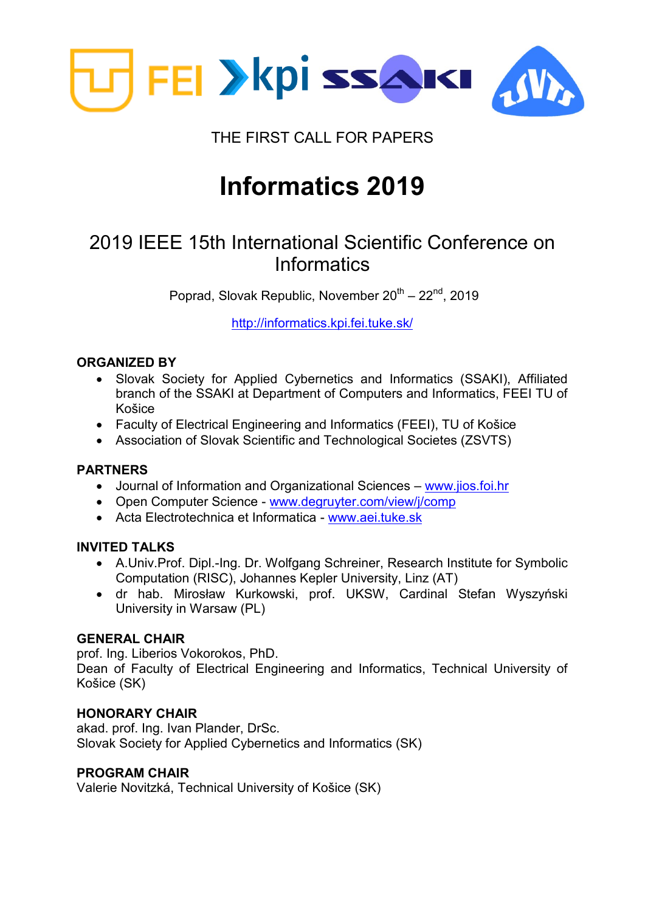

### THE FIRST CALL FOR PAPERS

# **Informatics 2019**

## 2019 IEEE 15th International Scientific Conference on **Informatics**

Poprad, Slovak Republic, November 20<sup>th</sup> – 22<sup>nd</sup>, 2019

<http://informatics.kpi.fei.tuke.sk/>

#### **ORGANIZED BY**

- Slovak Society for Applied Cybernetics and Informatics (SSAKI), Affiliated branch of the SSAKI at Department of Computers and Informatics, FEEI TU of Košice
- Faculty of Electrical Engineering and Informatics (FEEI), TU of Košice
- Association of Slovak Scientific and Technological Societes (ZSVTS)

#### **PARTNERS**

- Journal of Information and Organizational Sciences [www.jios.foi.hr](http://www.jios.foi.hr/)
- Open Computer Science [www.degruyter.com/view/j/comp](http://www.degruyter.com/view/j/comp)
- Acta Electrotechnica et Informatica [www.aei.tuke.sk](http://www.aei.tuke.sk/)

#### **INVITED TALKS**

- A.Univ.Prof. Dipl.-Ing. Dr. Wolfgang Schreiner, Research Institute for Symbolic Computation (RISC), Johannes Kepler University, Linz (AT)
- dr hab. Mirosław Kurkowski, prof. UKSW, Cardinal Stefan Wyszyński University in Warsaw (PL)

#### **GENERAL CHAIR**

prof. Ing. Liberios Vokorokos, PhD.

Dean of Faculty of Electrical Engineering and Informatics, Technical University of Košice (SK)

#### **HONORARY CHAIR**

akad. prof. Ing. Ivan Plander, DrSc. Slovak Society for Applied Cybernetics and Informatics (SK)

#### **PROGRAM CHAIR**

Valerie Novitzká, Technical University of Košice (SK)